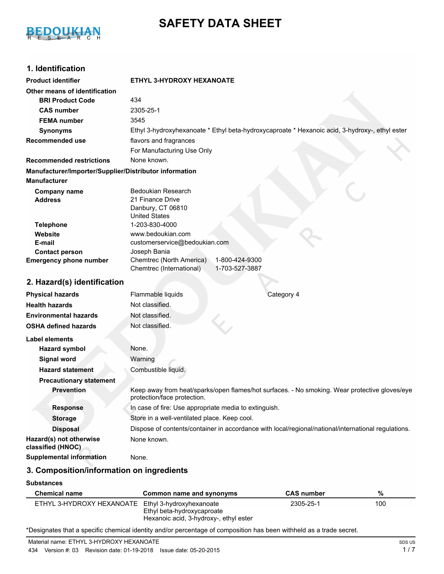# BEDOUKIAN

# **SAFETY DATA SHEET**

# **1. Identification**

| <b>Product identifier</b>                              | ETHYL 3-HYDROXY HEXANOATE                                                                                                    |  |  |
|--------------------------------------------------------|------------------------------------------------------------------------------------------------------------------------------|--|--|
| Other means of identification                          |                                                                                                                              |  |  |
| <b>BRI Product Code</b>                                | 434                                                                                                                          |  |  |
| <b>CAS number</b>                                      | 2305-25-1                                                                                                                    |  |  |
| <b>FEMA number</b>                                     | 3545                                                                                                                         |  |  |
| <b>Synonyms</b>                                        | Ethyl 3-hydroxyhexanoate * Ethyl beta-hydroxycaproate * Hexanoic acid, 3-hydroxy-, ethyl ester                               |  |  |
| <b>Recommended use</b>                                 | flavors and fragrances                                                                                                       |  |  |
|                                                        | For Manufacturing Use Only                                                                                                   |  |  |
| <b>Recommended restrictions</b>                        | None known.                                                                                                                  |  |  |
| Manufacturer/Importer/Supplier/Distributor information |                                                                                                                              |  |  |
| <b>Manufacturer</b>                                    |                                                                                                                              |  |  |
| <b>Company name</b><br><b>Address</b>                  | <b>Bedoukian Research</b><br>21 Finance Drive<br>Danbury, CT 06810<br><b>United States</b>                                   |  |  |
| <b>Telephone</b>                                       | 1-203-830-4000                                                                                                               |  |  |
| Website                                                | www.bedoukian.com                                                                                                            |  |  |
| E-mail                                                 | customerservice@bedoukian.com                                                                                                |  |  |
| <b>Contact person</b><br><b>Emergency phone number</b> | Joseph Bania<br>Chemtrec (North America)<br>1-800-424-9300<br>1-703-527-3887<br>Chemtrec (International)                     |  |  |
| 2. Hazard(s) identification                            |                                                                                                                              |  |  |
| <b>Physical hazards</b>                                | Category 4<br>Flammable liquids                                                                                              |  |  |
| <b>Health hazards</b>                                  | Not classified.                                                                                                              |  |  |
| <b>Environmental hazards</b>                           | Not classified.                                                                                                              |  |  |
| <b>OSHA defined hazards</b>                            | Not classified.                                                                                                              |  |  |
| Label elements                                         |                                                                                                                              |  |  |
| <b>Hazard symbol</b>                                   | None.                                                                                                                        |  |  |
| <b>Signal word</b>                                     | Warning                                                                                                                      |  |  |
| <b>Hazard statement</b>                                | Combustible liquid.                                                                                                          |  |  |
| <b>Precautionary statement</b>                         |                                                                                                                              |  |  |
| <b>Prevention</b>                                      | Keep away from heat/sparks/open flames/hot surfaces. - No smoking. Wear protective gloves/eye<br>protection/face protection. |  |  |
| <b>Response</b>                                        | In case of fire: Use appropriate media to extinguish.                                                                        |  |  |
| <b>Storage</b>                                         | Store in a well-ventilated place. Keep cool.                                                                                 |  |  |
| <b>Disposal</b>                                        | Dispose of contents/container in accordance with local/regional/national/international regulations.                          |  |  |
| Hazard(s) not otherwise<br>classified (HNOC)           | None known.                                                                                                                  |  |  |
| <b>Supplemental information</b>                        | None.                                                                                                                        |  |  |
|                                                        |                                                                                                                              |  |  |

## **3. Composition/information on ingredients**

#### **Substances**

| <b>Chemical name</b>                               | Common name and synonyms                                             | <b>CAS number</b> | %   |
|----------------------------------------------------|----------------------------------------------------------------------|-------------------|-----|
| ETHYL 3-HYDROXY HEXANOATE Ethyl 3-hydroxyhexanoate | Ethyl beta-hydroxycaproate<br>Hexanoic acid, 3-hydroxy-, ethyl ester | 2305-25-1         | 100 |

\*Designates that a specific chemical identity and/or percentage of composition has been withheld as a trade secret.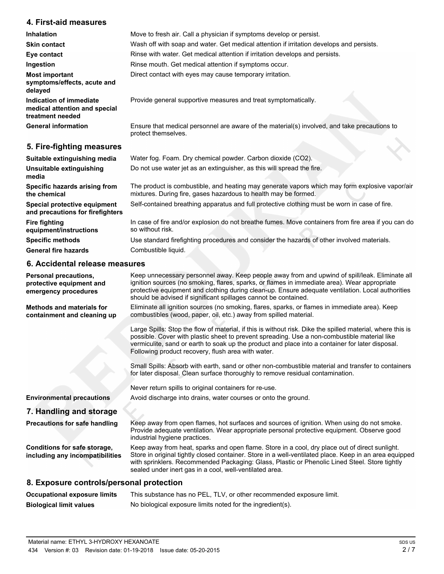## **4. First-aid measures**

| <b>Inhalation</b>                                                            | Move to fresh air. Call a physician if symptoms develop or persist.                                                 |
|------------------------------------------------------------------------------|---------------------------------------------------------------------------------------------------------------------|
| <b>Skin contact</b>                                                          | Wash off with soap and water. Get medical attention if irritation develops and persists.                            |
| Eye contact                                                                  | Rinse with water. Get medical attention if irritation develops and persists.                                        |
| Ingestion                                                                    | Rinse mouth. Get medical attention if symptoms occur.                                                               |
| <b>Most important</b><br>symptoms/effects, acute and<br>delayed              | Direct contact with eyes may cause temporary irritation.                                                            |
| Indication of immediate<br>medical attention and special<br>treatment needed | Provide general supportive measures and treat symptomatically.                                                      |
| <b>General information</b>                                                   | Ensure that medical personnel are aware of the material(s) involved, and take precautions to<br>protect themselves. |
| 5. Fire-fighting measures                                                    |                                                                                                                     |

| Suitable extinguishing media                                     | Water fog. Foam. Dry chemical powder. Carbon dioxide (CO2).                                                                                                       |
|------------------------------------------------------------------|-------------------------------------------------------------------------------------------------------------------------------------------------------------------|
| <b>Unsuitable extinguishing</b><br>media                         | Do not use water jet as an extinguisher, as this will spread the fire.                                                                                            |
| Specific hazards arising from<br>the chemical                    | The product is combustible, and heating may generate vapors which may form explosive vapor/air<br>mixtures. During fire, gases hazardous to health may be formed. |
| Special protective equipment<br>and precautions for firefighters | Self-contained breathing apparatus and full protective clothing must be worn in case of fire.                                                                     |
| <b>Fire fighting</b><br>equipment/instructions                   | In case of fire and/or explosion do not breathe fumes. Move containers from fire area if you can do<br>so without risk.                                           |
| <b>Specific methods</b>                                          | Use standard firefighting procedures and consider the hazards of other involved materials.                                                                        |
| <b>General fire hazards</b>                                      | Combustible liquid.                                                                                                                                               |

# **6. Accidental release measures**

| <b>Personal precautions,</b><br>protective equipment and<br>emergency procedures | Keep unnecessary personnel away. Keep people away from and upwind of spill/leak. Eliminate all<br>ignition sources (no smoking, flares, sparks, or flames in immediate area). Wear appropriate<br>protective equipment and clothing during clean-up. Ensure adequate ventilation. Local authorities<br>should be advised if significant spillages cannot be contained. |
|----------------------------------------------------------------------------------|------------------------------------------------------------------------------------------------------------------------------------------------------------------------------------------------------------------------------------------------------------------------------------------------------------------------------------------------------------------------|
| <b>Methods and materials for</b><br>containment and cleaning up                  | Eliminate all ignition sources (no smoking, flares, sparks, or flames in immediate area). Keep<br>combustibles (wood, paper, oil, etc.) away from spilled material.                                                                                                                                                                                                    |
|                                                                                  | Large Spills: Stop the flow of material, if this is without risk. Dike the spilled material, where this is<br>possible. Cover with plastic sheet to prevent spreading. Use a non-combustible material like<br>vermiculite, sand or earth to soak up the product and place into a container for later disposal.<br>Following product recovery, flush area with water.   |
|                                                                                  | Small Spills: Absorb with earth, sand or other non-combustible material and transfer to containers<br>for later disposal. Clean surface thoroughly to remove residual contamination.                                                                                                                                                                                   |
|                                                                                  | Never return spills to original containers for re-use.                                                                                                                                                                                                                                                                                                                 |
| <b>Environmental precautions</b>                                                 | Avoid discharge into drains, water courses or onto the ground.                                                                                                                                                                                                                                                                                                         |
| 7. Handling and storage                                                          |                                                                                                                                                                                                                                                                                                                                                                        |
| <b>Precautions for safe handling</b>                                             | Keep away from open flames, hot surfaces and sources of ignition. When using do not smoke.<br>Provide adequate ventilation. Wear appropriate personal protective equipment. Observe good<br>industrial hygiene practices.                                                                                                                                              |
| Conditions for safe storage,<br>including any incompatibilities                  | Keep away from heat, sparks and open flame. Store in a cool, dry place out of direct sunlight.<br>Store in original tightly closed container. Store in a well-ventilated place. Keep in an area equipped<br>with sprinklers. Recommended Packaging: Glass, Plastic or Phenolic Lined Steel. Store tightly<br>sealed under inert gas in a cool, well-ventilated area.   |
| 8. Exposure controls/personal protection                                         |                                                                                                                                                                                                                                                                                                                                                                        |
| <b>Occupational exposure limits</b>                                              | This substance has no PEL, TLV, or other recommended exposure limit.                                                                                                                                                                                                                                                                                                   |

**Biological limit values** No biological exposure limits noted for the ingredient(s).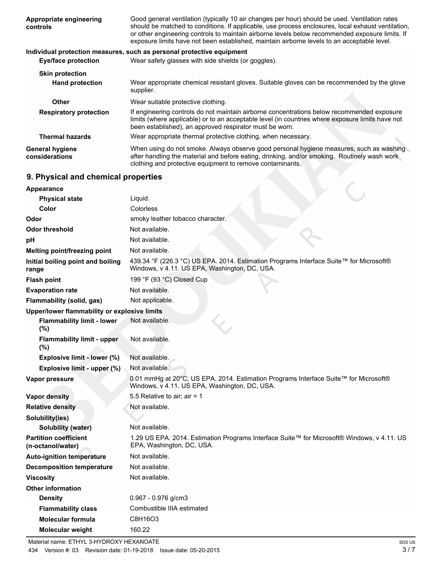| Appropriate engineering<br>controls          | Good general ventilation (typically 10 air changes per hour) should be used. Ventilation rates<br>should be matched to conditions. If applicable, use process enclosures, local exhaust ventilation,<br>or other engineering controls to maintain airborne levels below recommended exposure limits. If<br>exposure limits have not been established, maintain airborne levels to an acceptable level. |  |  |
|----------------------------------------------|--------------------------------------------------------------------------------------------------------------------------------------------------------------------------------------------------------------------------------------------------------------------------------------------------------------------------------------------------------------------------------------------------------|--|--|
|                                              | Individual protection measures, such as personal protective equipment                                                                                                                                                                                                                                                                                                                                  |  |  |
| <b>Eye/face protection</b>                   | Wear safety glasses with side shields (or goggles).                                                                                                                                                                                                                                                                                                                                                    |  |  |
| <b>Skin protection</b>                       |                                                                                                                                                                                                                                                                                                                                                                                                        |  |  |
| <b>Hand protection</b>                       | Wear appropriate chemical resistant gloves. Suitable gloves can be recommended by the glove<br>supplier.                                                                                                                                                                                                                                                                                               |  |  |
| Other                                        | Wear suitable protective clothing.                                                                                                                                                                                                                                                                                                                                                                     |  |  |
| <b>Respiratory protection</b>                | If engineering controls do not maintain airborne concentrations below recommended exposure<br>limits (where applicable) or to an acceptable level (in countries where exposure limits have not<br>been established), an approved respirator must be worn.                                                                                                                                              |  |  |
| <b>Thermal hazards</b>                       | Wear appropriate thermal protective clothing, when necessary.                                                                                                                                                                                                                                                                                                                                          |  |  |
| <b>General hygiene</b><br>considerations     | When using do not smoke. Always observe good personal hygiene measures, such as washing<br>after handling the material and before eating, drinking, and/or smoking. Routinely wash work<br>clothing and protective equipment to remove contaminants.                                                                                                                                                   |  |  |
| 9. Physical and chemical properties          |                                                                                                                                                                                                                                                                                                                                                                                                        |  |  |
| Appearance                                   |                                                                                                                                                                                                                                                                                                                                                                                                        |  |  |
| <b>Physical state</b>                        | Liquid.                                                                                                                                                                                                                                                                                                                                                                                                |  |  |
| Color                                        | Colorless                                                                                                                                                                                                                                                                                                                                                                                              |  |  |
| Odor                                         | smoky leather tobacco character.                                                                                                                                                                                                                                                                                                                                                                       |  |  |
| <b>Odor threshold</b>                        | Not available.                                                                                                                                                                                                                                                                                                                                                                                         |  |  |
| pH                                           | Not available.                                                                                                                                                                                                                                                                                                                                                                                         |  |  |
| Melting point/freezing point                 | Not available.                                                                                                                                                                                                                                                                                                                                                                                         |  |  |
| Initial boiling point and boiling<br>range   | 439.34 °F (226.3 °C) US EPA. 2014. Estimation Programs Interface Suite™ for Microsoft®<br>Windows, v 4.11. US EPA, Washington, DC, USA.                                                                                                                                                                                                                                                                |  |  |
| <b>Flash point</b>                           | 199 °F (93 °C) Closed Cup                                                                                                                                                                                                                                                                                                                                                                              |  |  |
| <b>Evaporation rate</b>                      | Not available.                                                                                                                                                                                                                                                                                                                                                                                         |  |  |
| Flammability (solid, gas)                    | Not applicable.                                                                                                                                                                                                                                                                                                                                                                                        |  |  |
| Upper/lower flammability or explosive limits |                                                                                                                                                                                                                                                                                                                                                                                                        |  |  |
| <b>Flammability limit - lower</b><br>$(\%)$  | Not available.                                                                                                                                                                                                                                                                                                                                                                                         |  |  |
| <b>Flammability limit - upper</b><br>(%)     | Not available.                                                                                                                                                                                                                                                                                                                                                                                         |  |  |
| Explosive limit - lower (%)                  | Not available.                                                                                                                                                                                                                                                                                                                                                                                         |  |  |
| Explosive limit - upper (%)                  | Not available.                                                                                                                                                                                                                                                                                                                                                                                         |  |  |
| Vapor pressure                               | 0.01 mmHg at 20°C; US EPA. 2014. Estimation Programs Interface Suite™ for Microsoft®<br>Windows, v 4.11. US EPA, Washington, DC, USA.                                                                                                                                                                                                                                                                  |  |  |
| <b>Vapor density</b>                         | 5.5 Relative to air; air = $1$                                                                                                                                                                                                                                                                                                                                                                         |  |  |
| <b>Relative density</b>                      | Not available.                                                                                                                                                                                                                                                                                                                                                                                         |  |  |
| Solubility/ine)                              |                                                                                                                                                                                                                                                                                                                                                                                                        |  |  |

| Solubility(ies)                                   |                                                                                                                         |
|---------------------------------------------------|-------------------------------------------------------------------------------------------------------------------------|
| <b>Solubility (water)</b>                         | Not available.                                                                                                          |
| <b>Partition coefficient</b><br>(n-octanol/water) | 1.29 US EPA. 2014. Estimation Programs Interface Suite™ for Microsoft® Windows, v 4.11. US<br>EPA, Washington, DC, USA. |
| <b>Auto-ignition temperature</b>                  | Not available.                                                                                                          |
| Decomposition temperature                         | Not available.                                                                                                          |
| <b>Viscosity</b>                                  | Not available.                                                                                                          |
| <b>Other information</b>                          |                                                                                                                         |
| <b>Density</b>                                    | $0.967 - 0.976$ g/cm3                                                                                                   |
| <b>Flammability class</b>                         | Combustible IIIA estimated                                                                                              |
| <b>Molecular formula</b>                          | C8H16O3                                                                                                                 |
| <b>Molecular weight</b>                           | 160.22                                                                                                                  |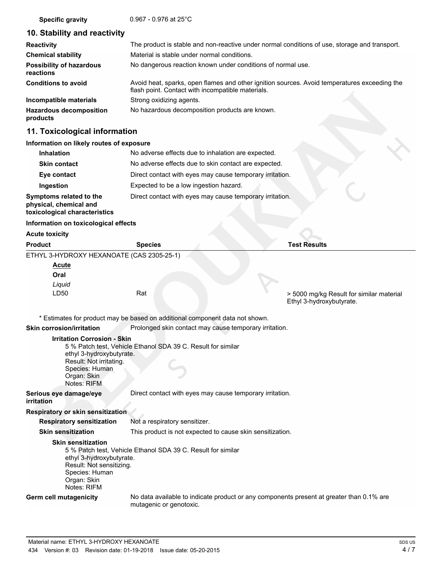**Specific gravity** 0.967 - 0.976 at 25°C

## **10. Stability and reactivity**

| <b>Reactivity</b>                            | The product is stable and non-reactive under normal conditions of use, storage and transport.                                                     |  |  |
|----------------------------------------------|---------------------------------------------------------------------------------------------------------------------------------------------------|--|--|
| <b>Chemical stability</b>                    | Material is stable under normal conditions.                                                                                                       |  |  |
| <b>Possibility of hazardous</b><br>reactions | No dangerous reaction known under conditions of normal use.                                                                                       |  |  |
| <b>Conditions to avoid</b>                   | Avoid heat, sparks, open flames and other ignition sources. Avoid temperatures exceeding the<br>flash point. Contact with incompatible materials. |  |  |
| Incompatible materials                       | Strong oxidizing agents.                                                                                                                          |  |  |
| <b>Hazardous decomposition</b><br>products   | No hazardous decomposition products are known.                                                                                                    |  |  |

### **11. Toxicological information**

#### **Information on likely routes of exposure**

#### **Acute toxicity**

| <b>Product</b> | <b>Species</b>                            | <b>Test Results</b>                                                  |
|----------------|-------------------------------------------|----------------------------------------------------------------------|
|                | ETHYL 3-HYDROXY HEXANOATE (CAS 2305-25-1) |                                                                      |
| <b>Acute</b>   |                                           |                                                                      |
| Oral           |                                           |                                                                      |
| Liquid         |                                           |                                                                      |
| LD50           | Rat                                       | > 5000 mg/kg Result for similar material<br>Ethyl 3-hydroxybutyrate. |

\* Estimates for product may be based on additional component data not shown.

#### **Skin corrosion/irritation Prolonged skin contact may cause temporary irritation.**

**Irritation Corrosion - Skin**

5 % Patch test, Vehicle Ethanol SDA 39 C. Result for similar ethyl 3-hydroxybutyrate. Result: Not irritating. Species: Human Organ: Skin

Notes: RIFM

**Serious eye damage/eye** Direct contact with eyes may cause temporary irritation.

### **irritation**

**Respiratory or skin sensitization**

**Respiratory sensitization** Not a respiratory sensitizer.

**Skin sensitization** This product is not expected to cause skin sensitization.

#### **Skin sensitization**

5 % Patch test, Vehicle Ethanol SDA 39 C. Result for similar ethyl 3-hydroxybutyrate. Result: Not sensitizing. Species: Human Organ: Skin Notes: RIFM

**Germ cell mutagenicity**

No data available to indicate product or any components present at greater than 0.1% are mutagenic or genotoxic.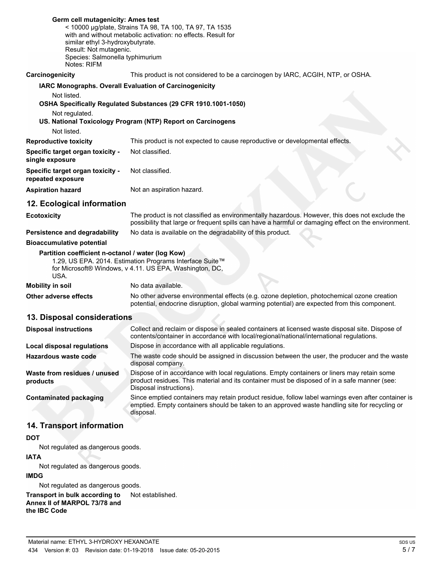| Germ cell mutagenicity: Ames test<br>< 10000 µg/plate, Strains TA 98, TA 100, TA 97, TA 1535<br>with and without metabolic activation: no effects. Result for<br>similar ethyl 3-hydroxybutyrate.<br>Result: Not mutagenic.<br>Species: Salmonella typhimurium<br>Notes: RIFM |                                                                                                                                                                                                                        |  |
|-------------------------------------------------------------------------------------------------------------------------------------------------------------------------------------------------------------------------------------------------------------------------------|------------------------------------------------------------------------------------------------------------------------------------------------------------------------------------------------------------------------|--|
| Carcinogenicity                                                                                                                                                                                                                                                               | This product is not considered to be a carcinogen by IARC, ACGIH, NTP, or OSHA.                                                                                                                                        |  |
| IARC Monographs. Overall Evaluation of Carcinogenicity<br>Not listed.<br>OSHA Specifically Regulated Substances (29 CFR 1910.1001-1050)                                                                                                                                       |                                                                                                                                                                                                                        |  |
| Not regulated.                                                                                                                                                                                                                                                                | US. National Toxicology Program (NTP) Report on Carcinogens                                                                                                                                                            |  |
| Not listed.                                                                                                                                                                                                                                                                   |                                                                                                                                                                                                                        |  |
| <b>Reproductive toxicity</b>                                                                                                                                                                                                                                                  | This product is not expected to cause reproductive or developmental effects.                                                                                                                                           |  |
| Specific target organ toxicity -<br>single exposure                                                                                                                                                                                                                           | Not classified.                                                                                                                                                                                                        |  |
| Specific target organ toxicity -<br>repeated exposure                                                                                                                                                                                                                         | Not classified.                                                                                                                                                                                                        |  |
| <b>Aspiration hazard</b>                                                                                                                                                                                                                                                      | Not an aspiration hazard.                                                                                                                                                                                              |  |
| 12. Ecological information                                                                                                                                                                                                                                                    |                                                                                                                                                                                                                        |  |
| The product is not classified as environmentally hazardous. However, this does not exclude the<br><b>Ecotoxicity</b><br>possibility that large or frequent spills can have a harmful or damaging effect on the environment.                                                   |                                                                                                                                                                                                                        |  |
| Persistence and degradability                                                                                                                                                                                                                                                 | No data is available on the degradability of this product.                                                                                                                                                             |  |
| <b>Bioaccumulative potential</b>                                                                                                                                                                                                                                              |                                                                                                                                                                                                                        |  |
| Partition coefficient n-octanol / water (log Kow)<br>USA.                                                                                                                                                                                                                     | 1.29, US EPA. 2014. Estimation Programs Interface Suite™<br>for Microsoft® Windows, v 4.11. US EPA, Washington, DC,                                                                                                    |  |
| <b>Mobility in soil</b>                                                                                                                                                                                                                                                       | No data available.                                                                                                                                                                                                     |  |
| Other adverse effects                                                                                                                                                                                                                                                         | No other adverse environmental effects (e.g. ozone depletion, photochemical ozone creation<br>potential, endocrine disruption, global warming potential) are expected from this component.                             |  |
| 13. Disposal considerations                                                                                                                                                                                                                                                   |                                                                                                                                                                                                                        |  |
| <b>Disposal instructions</b>                                                                                                                                                                                                                                                  | Collect and reclaim or dispose in sealed containers at licensed waste disposal site. Dispose of<br>contents/container in accordance with local/regional/national/international regulations.                            |  |
| <b>Local disposal regulations</b>                                                                                                                                                                                                                                             | Dispose in accordance with all applicable regulations.                                                                                                                                                                 |  |
| <b>Hazardous waste code</b>                                                                                                                                                                                                                                                   | The waste code should be assigned in discussion between the user, the producer and the waste<br>disposal company.                                                                                                      |  |
| Waste from residues / unused<br>products                                                                                                                                                                                                                                      | Dispose of in accordance with local regulations. Empty containers or liners may retain some<br>product residues. This material and its container must be disposed of in a safe manner (see:<br>Disposal instructions). |  |
| <b>Contaminated packaging</b>                                                                                                                                                                                                                                                 | Since emptied containers may retain product residue, follow label warnings even after container is<br>emptied. Empty containers should be taken to an approved waste handling site for recycling or<br>disposal.       |  |
| 14. Transport information                                                                                                                                                                                                                                                     |                                                                                                                                                                                                                        |  |
| <b>DOT</b>                                                                                                                                                                                                                                                                    |                                                                                                                                                                                                                        |  |
| Not regulated as dangerous goods.                                                                                                                                                                                                                                             |                                                                                                                                                                                                                        |  |
| <b>IATA</b>                                                                                                                                                                                                                                                                   |                                                                                                                                                                                                                        |  |
| Not regulated as dangerous goods.                                                                                                                                                                                                                                             |                                                                                                                                                                                                                        |  |
| <b>IMDG</b>                                                                                                                                                                                                                                                                   |                                                                                                                                                                                                                        |  |

Not regulated as dangerous goods.

**Transport in bulk according to** Not established. **Annex II of MARPOL 73/78 and**

**the IBC Code**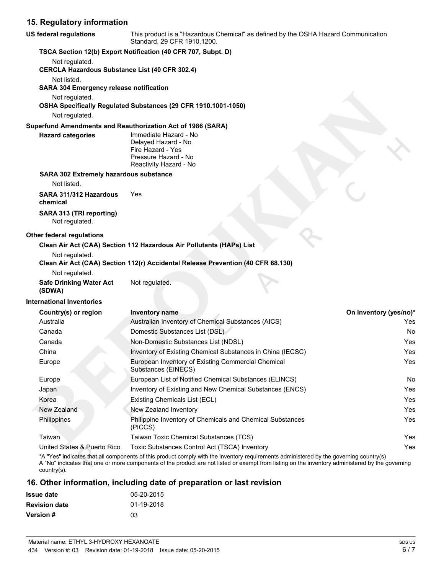# **15. Regulatory information**

| US federal regulations                                        | This product is a "Hazardous Chemical" as defined by the OSHA Hazard Communication<br>Standard, 29 CFR 1910.1200.                                                                                                                                                                          |                        |  |
|---------------------------------------------------------------|--------------------------------------------------------------------------------------------------------------------------------------------------------------------------------------------------------------------------------------------------------------------------------------------|------------------------|--|
| TSCA Section 12(b) Export Notification (40 CFR 707, Subpt. D) |                                                                                                                                                                                                                                                                                            |                        |  |
| Not regulated.                                                |                                                                                                                                                                                                                                                                                            |                        |  |
| <b>CERCLA Hazardous Substance List (40 CFR 302.4)</b>         |                                                                                                                                                                                                                                                                                            |                        |  |
| Not listed.<br><b>SARA 304 Emergency release notification</b> |                                                                                                                                                                                                                                                                                            |                        |  |
| Not regulated.                                                |                                                                                                                                                                                                                                                                                            |                        |  |
|                                                               | OSHA Specifically Regulated Substances (29 CFR 1910.1001-1050)                                                                                                                                                                                                                             |                        |  |
| Not regulated.                                                |                                                                                                                                                                                                                                                                                            |                        |  |
|                                                               | Superfund Amendments and Reauthorization Act of 1986 (SARA)                                                                                                                                                                                                                                |                        |  |
| <b>Hazard categories</b>                                      | Immediate Hazard - No                                                                                                                                                                                                                                                                      |                        |  |
|                                                               | Delayed Hazard - No                                                                                                                                                                                                                                                                        |                        |  |
|                                                               | Fire Hazard - Yes<br>Pressure Hazard - No                                                                                                                                                                                                                                                  |                        |  |
|                                                               | Reactivity Hazard - No                                                                                                                                                                                                                                                                     |                        |  |
| <b>SARA 302 Extremely hazardous substance</b>                 |                                                                                                                                                                                                                                                                                            |                        |  |
| Not listed.                                                   |                                                                                                                                                                                                                                                                                            |                        |  |
| SARA 311/312 Hazardous<br>chemical                            | Yes                                                                                                                                                                                                                                                                                        |                        |  |
| SARA 313 (TRI reporting)                                      |                                                                                                                                                                                                                                                                                            |                        |  |
| Not regulated.                                                |                                                                                                                                                                                                                                                                                            |                        |  |
|                                                               |                                                                                                                                                                                                                                                                                            |                        |  |
| Other federal regulations                                     | Clean Air Act (CAA) Section 112 Hazardous Air Pollutants (HAPs) List                                                                                                                                                                                                                       |                        |  |
| Not regulated.                                                |                                                                                                                                                                                                                                                                                            |                        |  |
|                                                               | Clean Air Act (CAA) Section 112(r) Accidental Release Prevention (40 CFR 68.130)                                                                                                                                                                                                           |                        |  |
| Not regulated.                                                |                                                                                                                                                                                                                                                                                            |                        |  |
| <b>Safe Drinking Water Act</b>                                | Not regulated.                                                                                                                                                                                                                                                                             |                        |  |
| (SDWA)                                                        |                                                                                                                                                                                                                                                                                            |                        |  |
| International Inventories                                     |                                                                                                                                                                                                                                                                                            |                        |  |
| Country(s) or region                                          | Inventory name                                                                                                                                                                                                                                                                             | On inventory (yes/no)* |  |
| Australia                                                     | Australian Inventory of Chemical Substances (AICS)                                                                                                                                                                                                                                         | Yes                    |  |
| Canada                                                        | Domestic Substances List (DSL)                                                                                                                                                                                                                                                             | No                     |  |
| Canada                                                        | Non-Domestic Substances List (NDSL)                                                                                                                                                                                                                                                        | Yes                    |  |
| China                                                         | Inventory of Existing Chemical Substances in China (IECSC)                                                                                                                                                                                                                                 | Yes                    |  |
| Europe                                                        | European Inventory of Existing Commercial Chemical<br>Substances (EINECS)                                                                                                                                                                                                                  | Yes                    |  |
| Europe                                                        | European List of Notified Chemical Substances (ELINCS)                                                                                                                                                                                                                                     | No                     |  |
| Japan                                                         | Inventory of Existing and New Chemical Substances (ENCS)                                                                                                                                                                                                                                   | Yes                    |  |
| Korea                                                         | Existing Chemicals List (ECL)                                                                                                                                                                                                                                                              | Yes                    |  |
| New Zealand                                                   | New Zealand Inventory                                                                                                                                                                                                                                                                      | Yes                    |  |
| Philippines                                                   | Philippine Inventory of Chemicals and Chemical Substances                                                                                                                                                                                                                                  | Yes                    |  |
|                                                               | (PICCS)                                                                                                                                                                                                                                                                                    |                        |  |
| Taiwan                                                        | Taiwan Toxic Chemical Substances (TCS)                                                                                                                                                                                                                                                     | Yes                    |  |
| United States & Puerto Rico                                   | Toxic Substances Control Act (TSCA) Inventory                                                                                                                                                                                                                                              | Yes                    |  |
| $country(s)$ .                                                | *A "Yes" indicates that all components of this product comply with the inventory requirements administered by the governing country(s)<br>A "No" indicates that one or more components of the product are not listed or exempt from listing on the inventory administered by the governing |                        |  |
|                                                               | 16. Other information, including date of preparation or last revision                                                                                                                                                                                                                      |                        |  |

| <b>Issue date</b>    | 05-20-2015 |
|----------------------|------------|
| <b>Revision date</b> | 01-19-2018 |
| <b>Version</b> #     | 03         |